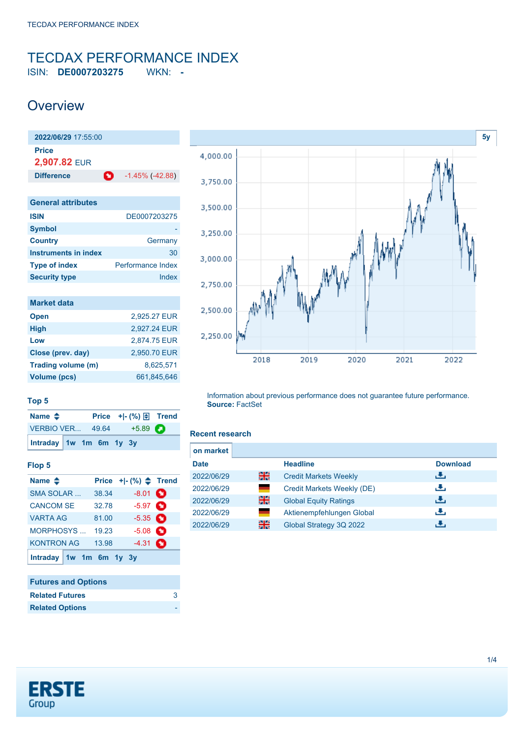# <span id="page-0-0"></span>TECDAX PERFORMANCE INDEX

ISIN: **DE0007203275** WKN: **-**

### **Overview**



| DE0007203275             |
|--------------------------|
|                          |
| Germany                  |
| 30                       |
| <b>Performance Index</b> |
| Index                    |
|                          |

| <b>Market data</b> |              |
|--------------------|--------------|
| <b>Open</b>        | 2.925.27 EUR |
| <b>High</b>        | 2,927.24 EUR |
| Low                | 2,874.75 EUR |
| Close (prev. day)  | 2,950.70 EUR |
| Trading volume (m) | 8,625,571    |
| Volume (pcs)       | 661,845,646  |



#### **Top 5**

| Name $\triangle$        |  | Price $+[-(%) \oplus$ Trend |  |
|-------------------------|--|-----------------------------|--|
|                         |  | VERBIO VER 49.64 +5.89      |  |
| Intraday 1w 1m 6m 1y 3y |  |                             |  |

#### **Flop 5**

| Name $\triangle$        |       | Price $+$ $ (%)$ $\triangle$ Trend |  |
|-------------------------|-------|------------------------------------|--|
| <b>SMA SOLAR</b>        | 38.34 | $-8.01$ $\bullet$                  |  |
| <b>CANCOM SE</b>        | 32.78 | $-5.97$ $\bullet$                  |  |
| <b>VARTA AG</b>         | 81.00 | $-5.35$ $\bullet$                  |  |
| <b>MORPHOSYS</b>        | 19.23 | $-5.08$ $\bullet$                  |  |
| <b>KONTRON AG</b>       | 13.98 | $-4.31$ $\bullet$                  |  |
| Intraday 1w 1m 6m 1y 3y |       |                                    |  |

### **Futures and Options Related Futures** [3](https://de.products.erstegroup.com/CorporateClients/en/Dispatcher/SearchDispatcher/Market/future/index.phtml?ID_INSTRUMENT_CLASS_FUTURE=8217087) **Related Options**

Information about previous performance does not guarantee future performance. **Source:** FactSet

#### **Recent research**

| on market   |      |                              |                 |  |
|-------------|------|------------------------------|-----------------|--|
| <b>Date</b> |      | <b>Headline</b>              | <b>Download</b> |  |
| 2022/06/29  | 을중   | <b>Credit Markets Weekly</b> | رنان            |  |
| 2022/06/29  | a sa | Credit Markets Weekly (DE)   | رالى            |  |
| 2022/06/29  | 을중   | <b>Global Equity Ratings</b> | رالى            |  |
| 2022/06/29  |      | Aktienempfehlungen Global    | æ,              |  |
| 2022/06/29  | 꾊    | Global Strategy 3Q 2022      | æ,              |  |

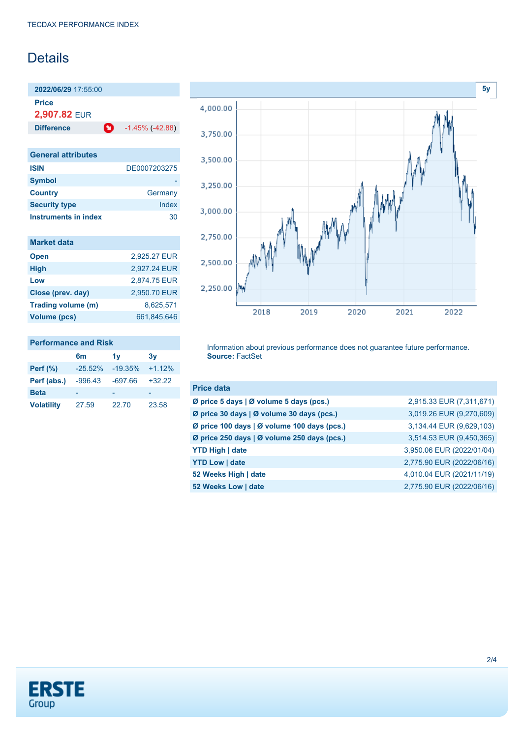### **Details**

**2022/06/29** 17:55:00 **Price**

**2,907.82** EUR

**Difference 1.45% (-42.88)** 

| <b>General attributes</b> |              |
|---------------------------|--------------|
| <b>ISIN</b>               | DE0007203275 |
| <b>Symbol</b>             |              |
| <b>Country</b>            | Germany      |
| <b>Security type</b>      | Index        |
| Instruments in index      | חצ           |

| <b>Market data</b> |              |
|--------------------|--------------|
| <b>Open</b>        | 2,925.27 EUR |
| <b>High</b>        | 2,927.24 EUR |
| Low                | 2,874.75 EUR |
| Close (prev. day)  | 2,950.70 EUR |
| Trading volume (m) | 8,625,571    |
| Volume (pcs)       | 661,845,646  |

#### **Performance and Risk**

|                   | 6m         | 1v        | 3v       |
|-------------------|------------|-----------|----------|
| <b>Perf</b> (%)   | $-25.52\%$ | $-19.35%$ | $+1.12%$ |
| Perf (abs.)       | $-996.43$  | $-697.66$ | $+32.22$ |
| <b>Beta</b>       |            |           |          |
| <b>Volatility</b> | 27.59      | 22.70     | 23.58    |



Information about previous performance does not guarantee future performance. **Source:** FactSet

| <b>Price data</b>                           |                           |
|---------------------------------------------|---------------------------|
| Ø price 5 days   Ø volume 5 days (pcs.)     | 2,915.33 EUR (7,311,671)  |
| Ø price 30 days   Ø volume 30 days (pcs.)   | 3,019.26 EUR (9,270,609)  |
| Ø price 100 days   Ø volume 100 days (pcs.) | 3,134.44 EUR (9,629,103)  |
| Ø price 250 days   Ø volume 250 days (pcs.) | 3,514.53 EUR (9,450,365)  |
| <b>YTD High   date</b>                      | 3,950.06 EUR (2022/01/04) |
| <b>YTD Low   date</b>                       | 2,775.90 EUR (2022/06/16) |
| 52 Weeks High   date                        | 4,010.04 EUR (2021/11/19) |
| 52 Weeks Low   date                         | 2,775.90 EUR (2022/06/16) |

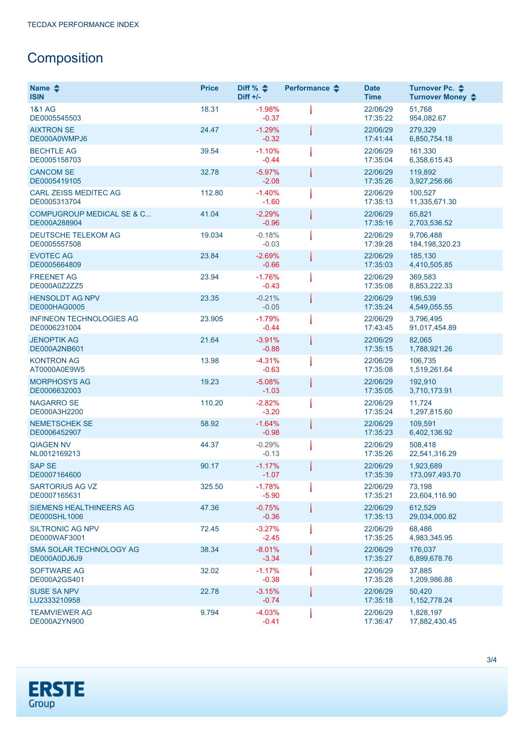## **Composition**

| Name $\triangle$<br><b>ISIN</b>                       | <b>Price</b> | Diff % $\triangleq$<br>$Diff +/-$ | Performance $\triangle$ | <b>Date</b><br><b>Time</b> | Turnover Pc. ♦<br>Turnover Money ♦ |
|-------------------------------------------------------|--------------|-----------------------------------|-------------------------|----------------------------|------------------------------------|
| <b>1&amp;1 AG</b><br>DE0005545503                     | 18.31        | $-1.98%$<br>$-0.37$               |                         | 22/06/29<br>17:35:22       | 51,768<br>954,082.67               |
| <b>AIXTRON SE</b><br>DE000A0WMPJ6                     | 24.47        | $-1.29%$<br>$-0.32$               |                         | 22/06/29<br>17:41:44       | 279.329<br>6,850,754.18            |
| <b>BECHTLE AG</b><br>DE0005158703                     | 39.54        | $-1.10%$<br>$-0.44$               |                         | 22/06/29<br>17:35:04       | 161,330<br>6,358,615.43            |
| <b>CANCOM SE</b><br>DE0005419105                      | 32.78        | $-5.97%$<br>$-2.08$               |                         | 22/06/29<br>17:35:26       | 119,892<br>3,927,256.66            |
| <b>CARL ZEISS MEDITEC AG</b><br>DE0005313704          | 112.80       | $-1.40%$<br>$-1.60$               |                         | 22/06/29<br>17:35:13       | 100,527<br>11,335,671.30           |
| <b>COMPUGROUP MEDICAL SE &amp; C</b><br>DE000A288904  | 41.04        | $-2.29%$<br>$-0.96$               |                         | 22/06/29<br>17:35:16       | 65,821<br>2,703,536.52             |
| <b>DEUTSCHE TELEKOM AG</b><br>DE0005557508            | 19.034       | $-0.18%$<br>$-0.03$               |                         | 22/06/29<br>17:39:28       | 9,706,488<br>184, 198, 320. 23     |
| <b>EVOTEC AG</b><br>DE0005664809                      | 23.84        | $-2.69%$<br>$-0.66$               |                         | 22/06/29<br>17:35:03       | 185,130<br>4,410,505.85            |
| <b>FREENET AG</b><br>DE000A0Z2ZZ5                     | 23.94        | $-1.76%$<br>$-0.43$               |                         | 22/06/29<br>17:35:08       | 369,583<br>8,853,222.33            |
| <b>HENSOLDT AG NPV</b><br><b>DE000HAG0005</b>         | 23.35        | $-0.21%$<br>$-0.05$               |                         | 22/06/29<br>17:35:24       | 196,539<br>4,549,055.55            |
| <b>INFINEON TECHNOLOGIES AG</b><br>DE0006231004       | 23.905       | $-1.79%$<br>$-0.44$               |                         | 22/06/29<br>17:43:45       | 3,796,495<br>91,017,454.89         |
| <b>JENOPTIK AG</b><br>DE000A2NB601                    | 21.64        | $-3.91%$<br>$-0.88$               |                         | 22/06/29<br>17:35:15       | 82,065<br>1,788,921.26             |
| <b>KONTRON AG</b><br>AT0000A0E9W5                     | 13.98        | $-4.31%$<br>$-0.63$               |                         | 22/06/29<br>17:35:08       | 106,735<br>1,519,261.64            |
| <b>MORPHOSYS AG</b><br>DE0006632003                   | 19.23        | $-5.08%$<br>$-1.03$               |                         | 22/06/29<br>17:35:05       | 192,910<br>3,710,173.91            |
| <b>NAGARRO SE</b><br>DE000A3H2200                     | 110.20       | $-2.82%$<br>$-3.20$               |                         | 22/06/29<br>17:35:24       | 11,724<br>1,297,815.60             |
| <b>NEMETSCHEK SE</b><br>DE0006452907                  | 58.92        | $-1.64%$<br>$-0.98$               |                         | 22/06/29<br>17:35:23       | 109,591<br>6,402,136.92            |
| <b>QIAGEN NV</b><br>NL0012169213                      | 44.37        | $-0.29%$<br>$-0.13$               |                         | 22/06/29<br>17:35:26       | 508,418<br>22,541,316.29           |
| <b>SAP SE</b><br>DE0007164600                         | 90.17        | $-1.17%$<br>$-1.07$               |                         | 22/06/29<br>17:35:39       | 1,923,689<br>173,097,493.70        |
| SARTORIUS AG VZ<br>DE0007165631                       | 325.50       | $-1.78%$<br>$-5.90$               |                         | 22/06/29<br>17:35:21       | 73,198<br>23,604,116.90            |
| <b>SIEMENS HEALTHINEERS AG</b><br><b>DE000SHL1006</b> | 47.36        | $-0.75%$<br>$-0.36$               |                         | 22/06/29<br>17:35:13       | 612,529<br>29,034,000.82           |
| <b>SILTRONIC AG NPV</b><br>DE000WAF3001               | 72.45        | $-3.27%$<br>$-2.45$               |                         | 22/06/29<br>17:35:25       | 68,486<br>4,983,345.95             |
| SMA SOLAR TECHNOLOGY AG<br>DE000A0DJ6J9               | 38.34        | $-8.01%$<br>$-3.34$               |                         | 22/06/29<br>17:35:27       | 176.037<br>6,899,678.76            |
| <b>SOFTWARE AG</b><br>DE000A2GS401                    | 32.02        | $-1.17%$<br>$-0.38$               |                         | 22/06/29<br>17:35:28       | 37,885<br>1,209,986.88             |
| <b>SUSE SA NPV</b><br>LU2333210958                    | 22.78        | $-3.15%$<br>$-0.74$               |                         | 22/06/29<br>17:35:18       | 50,420<br>1, 152, 778.24           |
| <b>TEAMVIEWER AG</b><br>DE000A2YN900                  | 9.794        | $-4.03%$<br>$-0.41$               |                         | 22/06/29<br>17:36:47       | 1,828,197<br>17,882,430.45         |